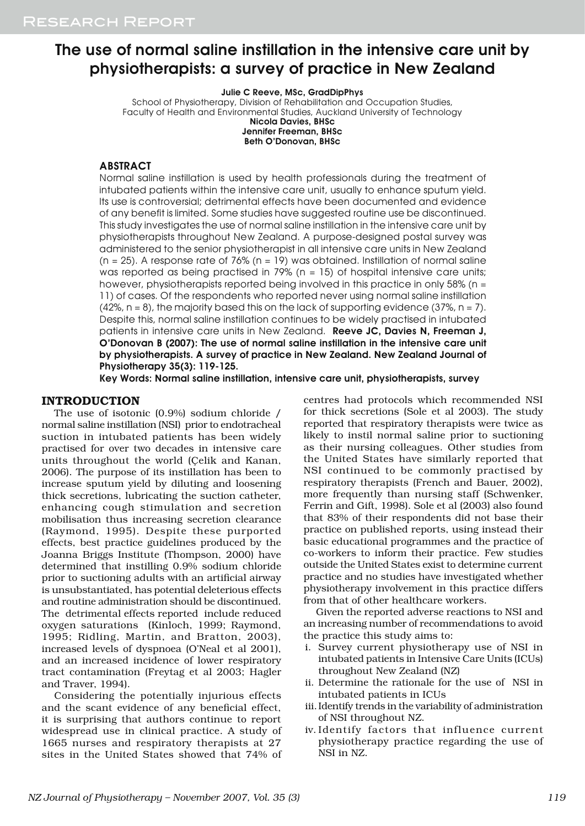# The use of normal saline instillation in the intensive care unit by physiotherapists: a survey of practice in New Zealand

Julie C Reeve, MSc, GradDipPhys

School of Physiotherapy, Division of Rehabilitation and Occupation Studies, Faculty of Health and Environmental Studies, Auckland University of Technology Nicola Davies, BHSc

Jennifer Freeman, BHSc Beth O'Donovan, BHSc

**ABSTRACT** 

Normal saline instillation is used by health professionals during the treatment of intubated patients within the intensive care unit, usually to enhance sputum yield. Its use is controversial; detrimental effects have been documented and evidence of any benefit is limited. Some studies have suggested routine use be discontinued. This study investigates the use of normal saline instillation in the intensive care unit by physiotherapists throughout New Zealand. A purpose-designed postal survey was administered to the senior physiotherapist in all intensive care units in New Zealand  $(n = 25)$ . A response rate of 76%  $(n = 19)$  was obtained. Instillation of normal saline was reported as being practised in 79% ( $n = 15$ ) of hospital intensive care units; however, physiotherapists reported being involved in this practice in only 58% (n = 11) of cases. Of the respondents who reported never using normal saline instillation  $(42\% , n = 8)$ , the majority based this on the lack of supporting evidence  $(37\% , n = 7)$ . Despite this, normal saline instillation continues to be widely practised in intubated patients in intensive care units in New Zealand. Reeve JC, Davies N, Freeman J, O'Donovan B (2007): The use of normal saline instillation in the intensive care unit by physiotherapists. A survey of practice in New Zealand. New Zealand Journal of Physiotherapy 35(3): 119-125.

Key Words: Normal saline instillation, intensive care unit, physiotherapists, survey

### INTRODUCTION

The use of isotonic (0.9%) sodium chloride / normal saline instillation (NSI) prior to endotracheal suction in intubated patients has been widely practised for over two decades in intensive care units throughout the world (Çelik and Kanan, 2006). The purpose of its instillation has been to increase sputum yield by diluting and loosening thick secretions, lubricating the suction catheter, enhancing cough stimulation and secretion mobilisation thus increasing secretion clearance (Raymond, 1995). Despite these purported effects, best practice guidelines produced by the Joanna Briggs Institute (Thompson, 2000) have determined that instilling 0.9% sodium chloride prior to suctioning adults with an artificial airway is unsubstantiated, has potential deleterious effects and routine administration should be discontinued. The detrimental effects reported include reduced oxygen saturations (Kinloch, 1999; Raymond, 1995; Ridling, Martin, and Bratton, 2003), increased levels of dyspnoea (O'Neal et al 2001), and an increased incidence of lower respiratory tract contamination (Freytag et al 2003; Hagler and Traver, 1994).

Considering the potentially injurious effects and the scant evidence of any beneficial effect, it is surprising that authors continue to report widespread use in clinical practice. A study of 1665 nurses and respiratory therapists at 27 sites in the United States showed that 74% of

centres had protocols which recommended NSI for thick secretions (Sole et al 2003). The study reported that respiratory therapists were twice as likely to instil normal saline prior to suctioning as their nursing colleagues. Other studies from the United States have similarly reported that NSI continued to be commonly practised by respiratory therapists (French and Bauer, 2002), more frequently than nursing staff (Schwenker, Ferrin and Gift, 1998). Sole et al (2003) also found that 83% of their respondents did not base their practice on published reports, using instead their basic educational programmes and the practice of co-workers to inform their practice. Few studies outside the United States exist to determine current practice and no studies have investigated whether physiotherapy involvement in this practice differs from that of other healthcare workers.

Given the reported adverse reactions to NSI and an increasing number of recommendations to avoid the practice this study aims to:

- i. Survey current physiotherapy use of NSI in intubated patients in Intensive Care Units (ICUs) throughout New Zealand (NZ)
- ii. Determine the rationale for the use of NSI in intubated patients in ICUs
- iii.Identify trends in the variability of administration of NSI throughout NZ.
- iv. Identify factors that influence current physiotherapy practice regarding the use of NSI in NZ.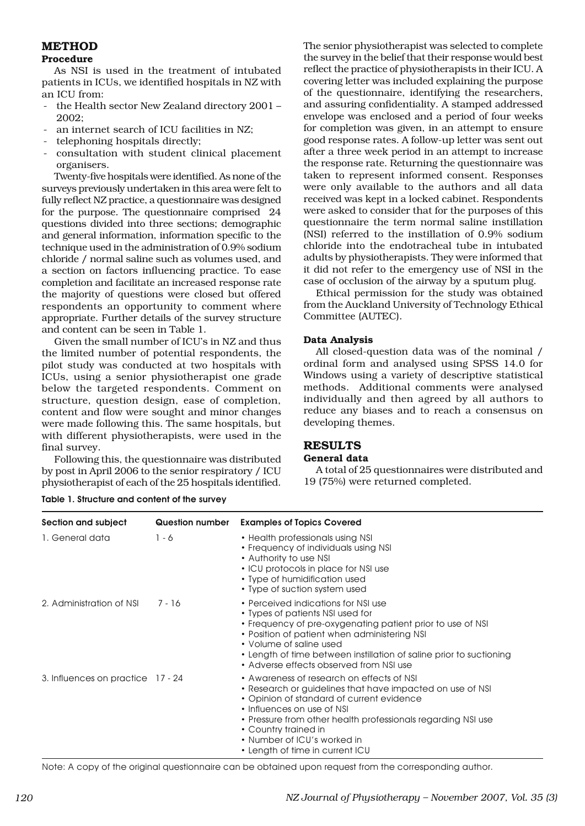## METHOD

## Procedure

As NSI is used in the treatment of intubated patients in ICUs, we identified hospitals in NZ with an ICU from:

- the Health sector New Zealand directory 2001 -2002;
- an internet search of ICU facilities in NZ;
- telephoning hospitals directly;
- consultation with student clinical placement organisers.

Twenty-five hospitals were identified. As none of the surveys previously undertaken in this area were felt to fully reflect NZ practice, a questionnaire was designed for the purpose. The questionnaire comprised 24 questions divided into three sections; demographic and general information, information specific to the technique used in the administration of 0.9% sodium chloride / normal saline such as volumes used, and a section on factors influencing practice. To ease completion and facilitate an increased response rate the majority of questions were closed but offered respondents an opportunity to comment where appropriate. Further details of the survey structure and content can be seen in Table 1.

Given the small number of ICU's in NZ and thus the limited number of potential respondents, the pilot study was conducted at two hospitals with ICUs, using a senior physiotherapist one grade below the targeted respondents. Comment on structure, question design, ease of completion, content and flow were sought and minor changes were made following this. The same hospitals, but with different physiotherapists, were used in the final survey.

Following this, the questionnaire was distributed by post in April 2006 to the senior respiratory / ICU physiotherapist of each of the 25 hospitals identified.

Table 1. Structure and content of the survey

The senior physiotherapist was selected to complete the survey in the belief that their response would best reflect the practice of physiotherapists in their ICU. A covering letter was included explaining the purpose of the questionnaire, identifying the researchers, and assuring confidentiality. A stamped addressed envelope was enclosed and a period of four weeks for completion was given, in an attempt to ensure good response rates. A follow-up letter was sent out after a three week period in an attempt to increase the response rate. Returning the questionnaire was taken to represent informed consent. Responses were only available to the authors and all data received was kept in a locked cabinet. Respondents were asked to consider that for the purposes of this questionnaire the term normal saline instillation (NSI) referred to the instillation of 0.9% sodium chloride into the endotracheal tube in intubated adults by physiotherapists. They were informed that it did not refer to the emergency use of NSI in the case of occlusion of the airway by a sputum plug.

Ethical permission for the study was obtained from the Auckland University of Technology Ethical Committee (AUTEC).

## Data Analysis

All closed-question data was of the nominal / ordinal form and analysed using SPSS 14.0 for Windows using a variety of descriptive statistical methods. Additional comments were analysed individually and then agreed by all authors to reduce any biases and to reach a consensus on developing themes.

#### RESULTS General data

A total of 25 questionnaires were distributed and 19 (75%) were returned completed.

| Section and subject               | <b>Question number</b> | <b>Examples of Topics Covered</b>                                                                                                                                                                                                                                                                                                           |
|-----------------------------------|------------------------|---------------------------------------------------------------------------------------------------------------------------------------------------------------------------------------------------------------------------------------------------------------------------------------------------------------------------------------------|
| 1. General data                   | $1 - 6$                | • Health professionals using NSI<br>• Frequency of individuals using NSI<br>• Authority to use NSI<br>• ICU protocols in place for NSI use<br>• Type of humidification used<br>• Type of suction system used                                                                                                                                |
| 2. Administration of NSI          | 7 - 16                 | • Perceived indications for NSI use<br>• Types of patients NSI used for<br>• Frequency of pre-oxygenating patient prior to use of NSI<br>• Position of patient when administering NSI<br>• Volume of saline used<br>• Length of time between instillation of saline prior to suctioning<br>• Adverse effects observed from NSI use          |
| 3. Influences on practice 17 - 24 |                        | • Awareness of research on effects of NSI<br>• Research or guidelines that have impacted on use of NSI<br>• Opinion of standard of current evidence<br>• Influences on use of NSI<br>• Pressure from other health professionals regarding NSI use<br>• Country trained in<br>• Number of ICU's worked in<br>• Length of time in current ICU |

Note: A copy of the original questionnaire can be obtained upon request from the corresponding author.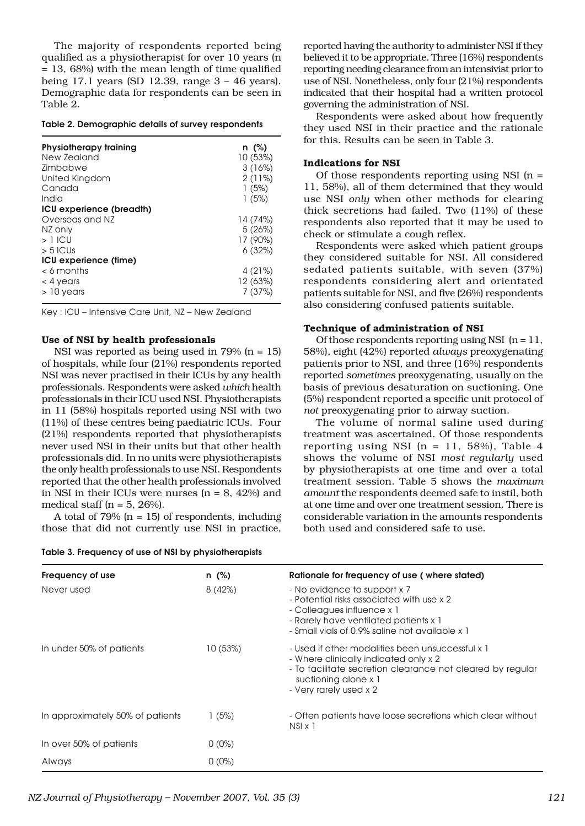The majority of respondents reported being qualified as a physiotherapist for over 10 years (n = 13, 68%) with the mean length of time qualified being 17.1 years (SD 12.39, range 3 – 46 years). Demographic data for respondents can be seen in Table 2.

#### Table 2. Demographic details of survey respondents

| Physiotherapy training<br>New Zealand<br><b>7</b> imbabwe | n (%)<br>10 (53%)<br>3(16%) |
|-----------------------------------------------------------|-----------------------------|
| United Kingdom                                            | 2(11%)                      |
| Canada<br>India                                           | 1(5%)<br>1(5%)              |
| ICU experience (breadth)                                  |                             |
| Overseas and NZ                                           | 14 (74%)                    |
| NZ only                                                   | 5(26%)                      |
| $>1$ ICU                                                  | 17 (90%)                    |
| $> 5$ ICUs                                                | 6(32%)                      |
| ICU experience (time)                                     |                             |
| $<$ 6 months                                              | 4 (21%)                     |
| $<$ 4 years                                               | 12 (63%)                    |
| $>10$ vears                                               | 7(37%)                      |

Key : ICU – Intensive Care Unit, NZ – New Zealand

#### Use of NSI by health professionals

NSI was reported as being used in  $79\%$  (n = 15) of hospitals, while four (21%) respondents reported NSI was never practised in their ICUs by any health professionals. Respondents were asked *which* health professionals in their ICU used NSI. Physiotherapists in 11 (58%) hospitals reported using NSI with two (11%) of these centres being paediatric ICUs. Four (21%) respondents reported that physiotherapists never used NSI in their units but that other health professionals did. In no units were physiotherapists the only health professionals to use NSI. Respondents reported that the other health professionals involved in NSI in their ICUs were nurses  $(n = 8, 42%)$  and medical staff ( $n = 5$ , 26%).

A total of  $79\%$  (n = 15) of respondents, including those that did not currently use NSI in practice,

| Table 3. Frequency of use of NSI by physiotherapists |  |  |  |  |
|------------------------------------------------------|--|--|--|--|
|------------------------------------------------------|--|--|--|--|

reported having the authority to administer NSI if they believed it to be appropriate. Three (16%) respondents reporting needing clearance from an intensivist prior to use of NSI. Nonetheless, only four (21%) respondents indicated that their hospital had a written protocol governing the administration of NSI.

Respondents were asked about how frequently they used NSI in their practice and the rationale for this. Results can be seen in Table 3.

#### Indications for NSI

Of those respondents reporting using NSI (n = 11, 58%), all of them determined that they would use NSI *only* when other methods for clearing thick secretions had failed. Two (11%) of these respondents also reported that it may be used to check or stimulate a cough reflex.

Respondents were asked which patient groups they considered suitable for NSI. All considered sedated patients suitable, with seven (37%) respondents considering alert and orientated patients suitable for NSI, and five (26%) respondents also considering confused patients suitable.

#### Technique of administration of NSI

Of those respondents reporting using NSI  $(n = 11)$ , 58%), eight (42%) reported *always* preoxygenating patients prior to NSI, and three (16%) respondents reported *sometimes* preoxygenating, usually on the basis of previous desaturation on suctioning. One (5%) respondent reported a specific unit protocol of *not* preoxygenating prior to airway suction.

The volume of normal saline used during treatment was ascertained. Of those respondents reporting using NSI  $(n = 11, 58\%)$ , Table 4 shows the volume of NSI *most regularly* used by physiotherapists at one time and over a total treatment session. Table 5 shows the *maximum amount* the respondents deemed safe to instil, both at one time and over one treatment session. There is considerable variation in the amounts respondents both used and considered safe to use.

| Frequency of use                 | $n$ (%)  | Rationale for frequency of use (where stated)                                                                                                                                                             |
|----------------------------------|----------|-----------------------------------------------------------------------------------------------------------------------------------------------------------------------------------------------------------|
| Never used                       | 8(42%)   | - No evidence to support x 7<br>- Potential risks associated with use x 2<br>- Colleagues influence x 1<br>- Rarely have ventilated patients x 1<br>- Small vials of 0.9% saline not available x 1        |
| In under 50% of patients         | 10(53%)  | - Used if other modalities been unsuccessful x 1<br>- Where clinically indicated only x 2<br>- To facilitate secretion clearance not cleared by regular<br>suctioning alone x 1<br>- Very rarely used x 2 |
| In approximately 50% of patients | 1(5%)    | - Often patients have loose secretions which clear without<br>$NSI \times I$                                                                                                                              |
| In over 50% of patients          | $0(0\%)$ |                                                                                                                                                                                                           |
| Always                           | $0(0\%)$ |                                                                                                                                                                                                           |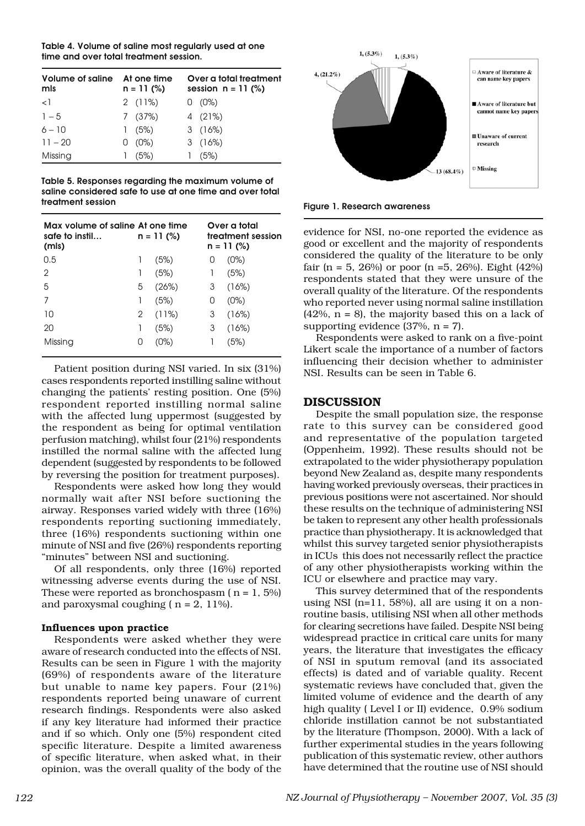Table 4. Volume of saline most regularly used at one time and over total treatment session.

| Volume of saline<br>mls | At one time<br>$n = 11$ (%) |          | Over a total treatment<br>session $n = 11$ (%) |          |  |
|-------------------------|-----------------------------|----------|------------------------------------------------|----------|--|
| $\leq$ $\overline{1}$   |                             | 2(11%)   |                                                | $0(0\%)$ |  |
| $1 - 5$                 |                             | 7(37%)   |                                                | 4(21%)   |  |
| $6 - 10$                |                             | 1(5%)    |                                                | 3(16%)   |  |
| $11 - 20$               |                             | $0(0\%)$ |                                                | 3(16%)   |  |
| Missing                 |                             | (5%)     |                                                | (5%)     |  |

Table 5. Responses regarding the maximum volume of saline considered safe to use at one time and over total treatment session

| Max volume of saline At one time<br>safe to instil<br>(mls) |                  | $n = 11$ (%) |   | Over a total<br>treatment session<br>$n = 11$ (%) |
|-------------------------------------------------------------|------------------|--------------|---|---------------------------------------------------|
| 0.5                                                         |                  | (5%)         | O | (0%)                                              |
| 2                                                           | 1                | (5%)         | 1 | (5%)                                              |
| 5                                                           | 5                | (26%)        | 3 | (16%)                                             |
| 7                                                           | 1                | (5%)         | 0 | (0%)                                              |
| 10                                                          | 2                | (11%)        | 3 | (16%)                                             |
| 20                                                          | 1                | (5%)         | 3 | (16%)                                             |
| Missing                                                     | $\left( \right)$ | (0%)         |   | (5%)                                              |

Patient position during NSI varied. In six (31%) cases respondents reported instilling saline without changing the patients' resting position. One (5%) respondent reported instilling normal saline with the affected lung uppermost (suggested by the respondent as being for optimal ventilation perfusion matching), whilst four (21%) respondents instilled the normal saline with the affected lung dependent (suggested by respondents to be followed by reversing the position for treatment purposes).

Respondents were asked how long they would normally wait after NSI before suctioning the airway. Responses varied widely with three (16%) respondents reporting suctioning immediately, three (16%) respondents suctioning within one minute of NSI and five (26%) respondents reporting "minutes" between NSI and suctioning.

Of all respondents, only three (16%) reported witnessing adverse events during the use of NSI. These were reported as bronchospasm  $(n = 1, 5\%)$ and paroxysmal coughing ( $n = 2$ , 11%).

## Influences upon practice

Respondents were asked whether they were aware of research conducted into the effects of NSI. Results can be seen in Figure 1 with the majority (69%) of respondents aware of the literature but unable to name key papers. Four (21%) respondents reported being unaware of current research findings. Respondents were also asked if any key literature had informed their practice and if so which. Only one (5%) respondent cited specific literature. Despite a limited awareness of specific literature, when asked what, in their opinion, was the overall quality of the body of the



Figure 1. Research awareness

evidence for NSI, no-one reported the evidence as good or excellent and the majority of respondents considered the quality of the literature to be only fair (n = 5, 26%) or poor (n = 5, 26%). Eight  $(42\%)$ respondents stated that they were unsure of the overall quality of the literature. Of the respondents who reported never using normal saline instillation  $(42\%, n = 8)$ , the majority based this on a lack of supporting evidence  $(37\%, n = 7)$ .

Respondents were asked to rank on a five-point Likert scale the importance of a number of factors influencing their decision whether to administer NSI. Results can be seen in Table 6.

## DISCUSSION

Despite the small population size, the response rate to this survey can be considered good and representative of the population targeted (Oppenheim, 1992). These results should not be extrapolated to the wider physiotherapy population beyond New Zealand as, despite many respondents having worked previously overseas, their practices in previous positions were not ascertained. Nor should these results on the technique of administering NSI be taken to represent any other health professionals practice than physiotherapy. It is acknowledged that whilst this survey targeted senior physiotherapists in ICUs this does not necessarily reflect the practice of any other physiotherapists working within the ICU or elsewhere and practice may vary.

This survey determined that of the respondents using NSI (n=11, 58%), all are using it on a nonroutine basis, utilising NSI when all other methods for clearing secretions have failed. Despite NSI being widespread practice in critical care units for many years, the literature that investigates the efficacy of NSI in sputum removal (and its associated effects) is dated and of variable quality. Recent systematic reviews have concluded that, given the limited volume of evidence and the dearth of any high quality ( Level I or II) evidence, 0.9% sodium chloride instillation cannot be not substantiated by the literature (Thompson, 2000). With a lack of further experimental studies in the years following publication of this systematic review, other authors have determined that the routine use of NSI should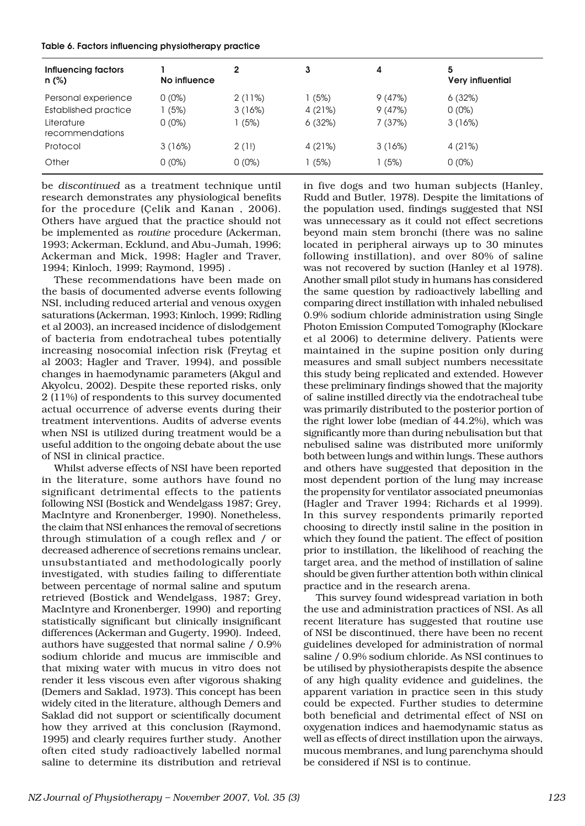|  |  | Table 6. Factors influencing physiotherapy practice |  |
|--|--|-----------------------------------------------------|--|
|--|--|-----------------------------------------------------|--|

| <b>Influencing factors</b><br>$n$ (%) | No influence |          | 3      | 4      | 5<br><b>Very influential</b> |
|---------------------------------------|--------------|----------|--------|--------|------------------------------|
| Personal experience                   | $0(0\%)$     | 2(11%)   | (5%)   | 9(47%) | 6(32%)                       |
| Established practice                  | (5%)         | 3(16%)   | 4(21%) | 9(47%) | $0(0\%)$                     |
| Literature<br>recommendations         | $0(0\%)$     | 1(5%)    | 6(32%) | 7(37%) | 3(16%)                       |
| Protocol                              | 3(16%)       | 2(1!)    | 4(21%) | 3(16%) | 4 (21%)                      |
| Other                                 | $0(0\%)$     | $0(0\%)$ | (5%)   | (5%)   | $0(0\%)$                     |

be *discontinued* as a treatment technique until research demonstrates any physiological benefits for the procedure (Çelik and Kanan , 2006). Others have argued that the practice should not be implemented as *routine* procedure (Ackerman, 1993; Ackerman, Ecklund, and Abu-Jumah, 1996; Ackerman and Mick, 1998; Hagler and Traver, 1994; Kinloch, 1999; Raymond, 1995) .

These recommendations have been made on the basis of documented adverse events following NSI, including reduced arterial and venous oxygen saturations (Ackerman, 1993; Kinloch, 1999; Ridling et al 2003), an increased incidence of dislodgement of bacteria from endotracheal tubes potentially increasing nosocomial infection risk (Freytag et al 2003; Hagler and Traver, 1994), and possible changes in haemodynamic parameters (Akgul and Akyolcu, 2002). Despite these reported risks, only 2 (11%) of respondents to this survey documented actual occurrence of adverse events during their treatment interventions. Audits of adverse events when NSI is utilized during treatment would be a useful addition to the ongoing debate about the use of NSI in clinical practice.

Whilst adverse effects of NSI have been reported in the literature, some authors have found no significant detrimental effects to the patients following NSI (Bostick and Wendelgass 1987; Grey, MacIntyre and Kronenberger, 1990). Nonetheless, the claim that NSI enhances the removal of secretions through stimulation of a cough reflex and / or decreased adherence of secretions remains unclear, unsubstantiated and methodologically poorly investigated, with studies failing to differentiate between percentage of normal saline and sputum retrieved (Bostick and Wendelgass, 1987; Grey, MacIntyre and Kronenberger, 1990) and reporting statistically significant but clinically insignificant differences (Ackerman and Gugerty, 1990). Indeed, authors have suggested that normal saline / 0.9% sodium chloride and mucus are immiscible and that mixing water with mucus in vitro does not render it less viscous even after vigorous shaking (Demers and Saklad, 1973). This concept has been widely cited in the literature, although Demers and Saklad did not support or scientifically document how they arrived at this conclusion (Raymond, 1995) and clearly requires further study. Another often cited study radioactively labelled normal saline to determine its distribution and retrieval

in five dogs and two human subjects (Hanley, Rudd and Butler, 1978). Despite the limitations of the population used, findings suggested that NSI was unnecessary as it could not effect secretions beyond main stem bronchi (there was no saline located in peripheral airways up to 30 minutes following instillation), and over 80% of saline was not recovered by suction (Hanley et al 1978). Another small pilot study in humans has considered the same question by radioactively labelling and comparing direct instillation with inhaled nebulised 0.9% sodium chloride administration using Single Photon Emission Computed Tomography (Klockare et al 2006) to determine delivery. Patients were maintained in the supine position only during measures and small subject numbers necessitate this study being replicated and extended. However these preliminary findings showed that the majority of saline instilled directly via the endotracheal tube was primarily distributed to the posterior portion of the right lower lobe (median of 44.2%), which was significantly more than during nebulisation but that nebulised saline was distributed more uniformly both between lungs and within lungs. These authors and others have suggested that deposition in the most dependent portion of the lung may increase the propensity for ventilator associated pneumonias (Hagler and Traver 1994; Richards et al 1999). In this survey respondents primarily reported choosing to directly instil saline in the position in which they found the patient. The effect of position prior to instillation, the likelihood of reaching the target area, and the method of instillation of saline should be given further attention both within clinical practice and in the research arena.

This survey found widespread variation in both the use and administration practices of NSI. As all recent literature has suggested that routine use of NSI be discontinued, there have been no recent guidelines developed for administration of normal saline / 0.9% sodium chloride. As NSI continues to be utilised by physiotherapists despite the absence of any high quality evidence and guidelines, the apparent variation in practice seen in this study could be expected. Further studies to determine both beneficial and detrimental effect of NSI on oxygenation indices and haemodynamic status as well as effects of direct instillation upon the airways, mucous membranes, and lung parenchyma should be considered if NSI is to continue.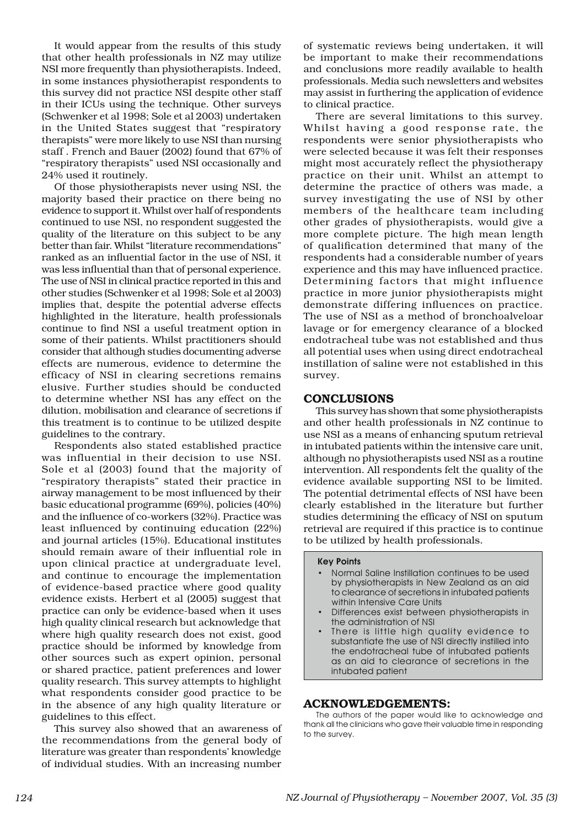It would appear from the results of this study that other health professionals in NZ may utilize NSI more frequently than physiotherapists. Indeed, in some instances physiotherapist respondents to this survey did not practice NSI despite other staff in their ICUs using the technique. Other surveys (Schwenker et al 1998; Sole et al 2003) undertaken in the United States suggest that "respiratory therapists" were more likely to use NSI than nursing staff . French and Bauer (2002) found that 67% of "respiratory therapists" used NSI occasionally and 24% used it routinely.

Of those physiotherapists never using NSI, the majority based their practice on there being no evidence to support it. Whilst over half of respondents continued to use NSI, no respondent suggested the quality of the literature on this subject to be any better than fair. Whilst "literature recommendations" ranked as an influential factor in the use of NSI, it was less influential than that of personal experience. The use of NSI in clinical practice reported in this and other studies (Schwenker et al 1998; Sole et al 2003) implies that, despite the potential adverse effects highlighted in the literature, health professionals continue to find NSI a useful treatment option in some of their patients. Whilst practitioners should consider that although studies documenting adverse effects are numerous, evidence to determine the efficacy of NSI in clearing secretions remains elusive. Further studies should be conducted to determine whether NSI has any effect on the dilution, mobilisation and clearance of secretions if this treatment is to continue to be utilized despite guidelines to the contrary.

Respondents also stated established practice was influential in their decision to use NSI. Sole et al (2003) found that the majority of "respiratory therapists" stated their practice in airway management to be most influenced by their basic educational programme (69%), policies (40%) and the influence of co-workers (32%). Practice was least influenced by continuing education (22%) and journal articles (15%). Educational institutes should remain aware of their influential role in upon clinical practice at undergraduate level, and continue to encourage the implementation of evidence-based practice where good quality evidence exists. Herbert et al (2005) suggest that practice can only be evidence-based when it uses high quality clinical research but acknowledge that where high quality research does not exist, good practice should be informed by knowledge from other sources such as expert opinion, personal or shared practice, patient preferences and lower quality research. This survey attempts to highlight what respondents consider good practice to be in the absence of any high quality literature or guidelines to this effect.

This survey also showed that an awareness of the recommendations from the general body of literature was greater than respondents' knowledge of individual studies. With an increasing number

of systematic reviews being undertaken, it will be important to make their recommendations and conclusions more readily available to health professionals. Media such newsletters and websites may assist in furthering the application of evidence to clinical practice.

There are several limitations to this survey. Whilst having a good response rate, the respondents were senior physiotherapists who were selected because it was felt their responses might most accurately reflect the physiotherapy practice on their unit. Whilst an attempt to determine the practice of others was made, a survey investigating the use of NSI by other members of the healthcare team including other grades of physiotherapists, would give a more complete picture. The high mean length of qualification determined that many of the respondents had a considerable number of years experience and this may have influenced practice. Determining factors that might influence practice in more junior physiotherapists might demonstrate differing influences on practice. The use of NSI as a method of bronchoalveloar lavage or for emergency clearance of a blocked endotracheal tube was not established and thus all potential uses when using direct endotracheal instillation of saline were not established in this survey.

### **CONCLUSIONS**

This survey has shown that some physiotherapists and other health professionals in NZ continue to use NSI as a means of enhancing sputum retrieval in intubated patients within the intensive care unit, although no physiotherapists used NSI as a routine intervention. All respondents felt the quality of the evidence available supporting NSI to be limited. The potential detrimental effects of NSI have been clearly established in the literature but further studies determining the efficacy of NSI on sputum retrieval are required if this practice is to continue to be utilized by health professionals.

#### Key Points

- Normal Saline Instillation continues to be used by physiotherapists in New Zealand as an aid to clearance of secretions in intubated patients within Intensive Care Units
- Differences exist between physiotherapists in the administration of NSI
- There is little high quality evidence to substantiate the use of NSI directly instilled into the endotracheal tube of intubated patients as an aid to clearance of secretions in the intubated patient

## ACKNOWLEDGEMENTS:

The authors of the paper would like to acknowledge and thank all the clinicians who gave their valuable time in responding to the survey.